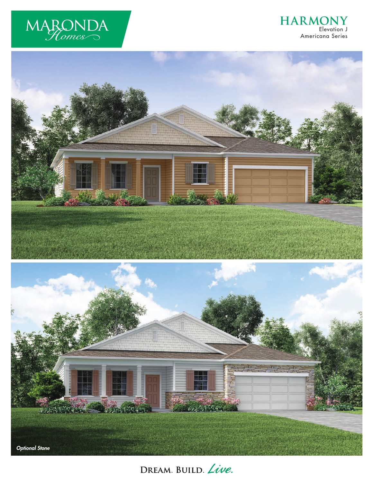

# **HARMONY** Elevation J Americana Series



DREAM. BUILD. Live.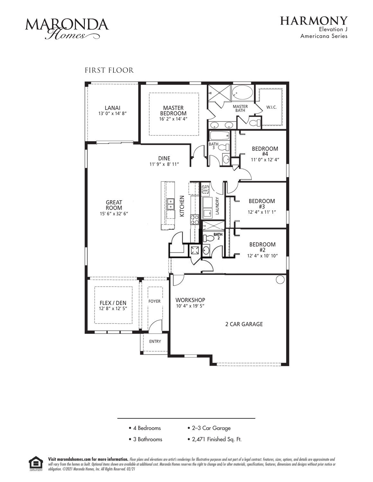

# FIRST FLOOR





Visit marondahomes.com for more information. Floor plans and elevations are artist's renderings for Illustrative purposes and not part of a legal contract. Features, sizes, options, and details are approximate and will vary from the homes as built. Optional items shown are available at additional cost. Maronda Homes reserves the right to change and/or alter materials, specifications, features, dimensions and designs without prior no *obligation. ©2021 Maronda Homes, Inc. All Rights Reserved. 02/21*